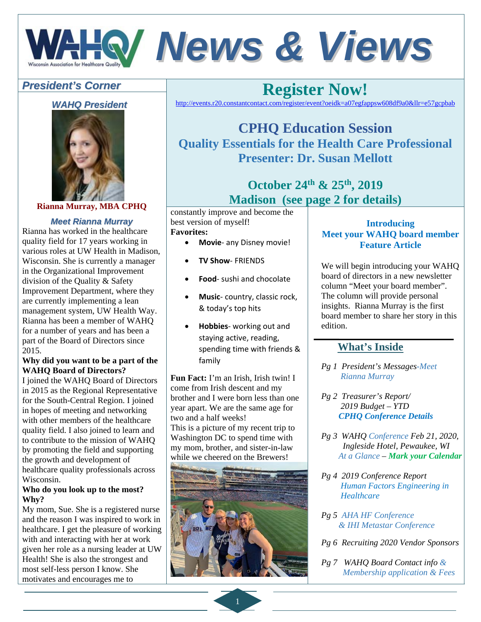

#### *WAHQ President*



**Rianna Murray, MBA CPHQ**

#### *Meet Rianna Murray*

Rianna has worked in the healthcare quality field for 17 years working in various roles at UW Health in Madison, Wisconsin. She is currently a manager in the Organizational Improvement division of the Quality & Safety Improvement Department, where they are currently implementing a lean management system, UW Health Way. Rianna has been a member of WAHQ for a number of years and has been a part of the Board of Directors since 2015.

#### **Why did you want to be a part of the WAHQ Board of Directors?**

I joined the WAHQ Board of Directors in 2015 as the Regional Representative for the South-Central Region. I joined in hopes of meeting and networking with other members of the healthcare quality field. I also joined to learn and to contribute to the mission of WAHQ by promoting the field and supporting the growth and development of healthcare quality professionals across Wisconsin.

#### **Who do you look up to the most? Why?**

My mom, Sue. She is a registered nurse and the reason I was inspired to work in healthcare. I get the pleasure of working with and interacting with her at work given her role as a nursing leader at UW Health! She is also the strongest and most self-less person I know. She motivates and encourages me to

# **President's Corner Register Now!**

http://events.r20.constantcontact.com/register/event?oeidk=a07egfappsw608df9a0&llr=e57gcpbab

**CPHQ Education Session Quality Essentials for the Health Care Professional Presenter: Dr. Susan Mellott** 

### **October 24th & 25th, 2019 Madison (see page 2 for details)**

constantly improve and become the best version of myself! **Favorites:** 

- **Movie**‐ any Disney movie!
- **TV Show**‐ FRIENDS
- **Food**‐ sushi and chocolate
- **Music**‐ country, classic rock, & today's top hits
- **Hobbies**‐ working out and staying active, reading, spending time with friends & family

**Fun Fact:** I'm an Irish, Irish twin! I come from Irish descent and my brother and I were born less than one year apart. We are the same age for two and a half weeks! This is a picture of my recent trip to Washington DC to spend time with my mom, brother, and sister-in-law while we cheered on the Brewers!



#### **Introducing Meet your WAHQ board member Feature Article**

We will begin introducing your WAHQ board of directors in a new newsletter column "Meet your board member". The column will provide personal insights. Rianna Murray is the first board member to share her story in this edition.

#### **What's Inside**

*Pg 1 President's Messages-Meet Rianna Murray*

- *Pg 2 Treasurer's Report/ 2019 Budget – YTD CPHQ Conference Details*
- *Pg 3 WAHQ Conference Feb 21, 2020, Ingleside Hotel, Pewaukee, WI At a Glance – Mark your Calendar*
- *Pg 4 2019 Conference Report Human Factors Engineering in Healthcare*
- *Pg 5 AHA HF Conference & IHI Metastar Conference*
- *Pg 6 Recruiting 2020 Vendor Sponsors*
- *Pg 7 WAHQ Board Contact info & Membership application & Fees*

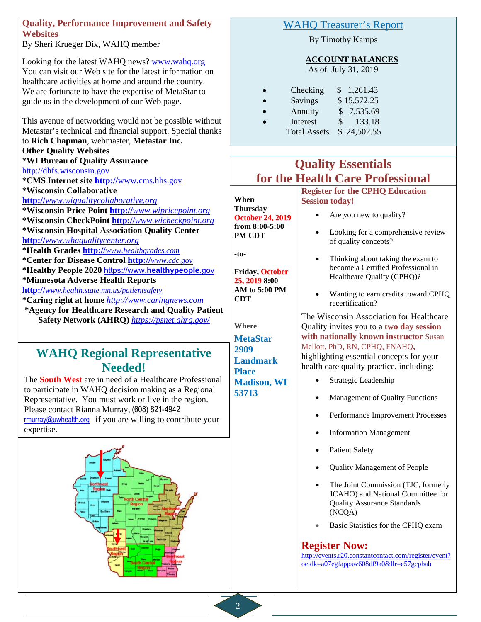#### **Quality, Performance Improvement and Safety Websites**

By Sheri Krueger Dix, WAHQ member

Looking for the latest WAHQ news? www.wahq.org You can visit our Web site for the latest information on healthcare activities at home and around the country. We are fortunate to have the expertise of MetaStar to guide us in the development of our Web page.

This avenue of networking would not be possible without Metastar's technical and financial support. Special thanks to **Rich Chapman**, webmaster, **Metastar Inc. Other Quality Websites**

**\*WI Bureau of Quality Assurance**  http://dhfs.wisconsin.gov **\*CMS Internet site http://**www.cms.hhs.gov **\*Wisconsin Collaborative http://***www.wiqualitycollaborative.org*  **\*Wisconsin Price Point http://***www.wipricepoint.org*  **\*Wisconsin CheckPoint http://***www.wicheckpoint.org*  **\*Wisconsin Hospital Association Quality Center http://***www.whaqualitycenter.org*  **\*Health Grades http://***www.healthgrades.com*  **\*Center for Disease Control http://***www.cdc.gov*  **\*Healthy People 2020** https://www.**healthypeople**.gov **\*Minnesota Adverse Health Reports http://***www.health.state.mn.us/patientsafety*  **\*Caring right at home** *http://www.caringnews.com*  **\*Agency for Healthcare Research and Quality Patient** 

**Safety Network (AHRQ)** *https://psnet.ahrq.gov/* 

### **WAHQ Regional Representative Needed!**

The **South West** are in need of a Healthcare Professional to participate in WAHQ decision making as a Regional Representative. You must work or live in the region. Please contact Rianna Murray, (608) 821-4942 rmurray@uwhealth.org if you are willing to contribute your expertise.



#### WAHQ Treasurer's Report

By Timothy Kamps

#### **ACCOUNT BALANCES**

As of July 31, 2019

- Checking \$ 1,261.43
- Savings \$ 15,572.25
- Annuity \$ 7,535.69
- Interest \$ 133.18 Total Assets \$ 24,502.55

**Session today!** 

### **Quality Essentials for the Health Care Professional Register for the CPHQ Education**

**When Thursday October 24, 2019 from 8:00-5:00 PM CDT** 

**-to-**

**Friday, October 25, 2019 8:00 AM to 5:00 PM CDT** 

**Where**

**MetaStar 2909 Landmark Place Madison, WI 53713** 

 Looking for a comprehensive review of quality concepts? Thinking about taking the exam to become a Certified Professional in Healthcare Quality (CPHQ)?

Are you new to quality?

 Wanting to earn credits toward CPHQ recertification?

The Wisconsin Association for Healthcare Quality invites you to a **two day session with nationally known instructor** Susan Mellott, PhD, RN, CPHQ, FNAHQ**,** highlighting essential concepts for your health care quality practice, including:

- Strategic Leadership
- Management of Quality Functions
- Performance Improvement Processes
- Information Management
- Patient Safety
- Quality Management of People
- The Joint Commission (TJC, formerly JCAHO) and National Committee for Quality Assurance Standards (NCQA)
- Basic Statistics for the CPHQ exam

#### **Register Now:**

http://events.r20.constantcontact.com/register/event? oeidk=a07egfappsw608df9a0&llr=e57gcpbab

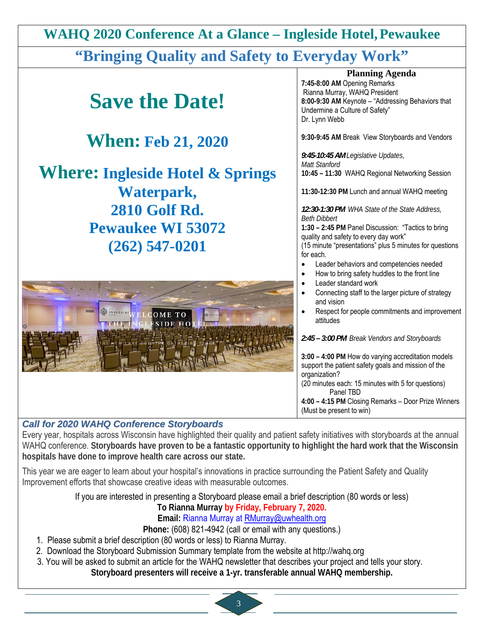### **WAHQ 2020 Conference At a Glance – Ingleside Hotel,Pewaukee**

# **"Bringing Quality and Safety to Everyday Work"**

# **Save the Date!**

**When: Feb 21, 2020**

**Where: Ingleside Hotel & Springs Waterpark, 2810 Golf Rd. Pewaukee WI 53072 (262) 547-0201** 



#### **Planning Agenda**

**7:45-8:00 AM** Opening Remarks Rianna Murray, WAHQ President **8:00-9:30 AM** Keynote – "Addressing Behaviors that Undermine a Culture of Safety" Dr. Lynn Webb

**9:30-9:45 AM** Break View Storyboards and Vendors

*9:45-10:45 AM Legislative Updates, Matt Stanford*  **10:45 – 11:30** WAHQ Regional Networking Session

**11:30-12:30 PM** Lunch and annual WAHQ meeting

*12:30-1:30 PM WHA State of the State Address, Beth Dibbert* 

**1:30 – 2:45 PM** Panel Discussion: "Tactics to bring quality and safety to every day work"

(15 minute "presentations" plus 5 minutes for questions for each.

- Leader behaviors and competencies needed
- How to bring safety huddles to the front line
- Leader standard work
	- Connecting staff to the larger picture of strategy and vision
	- Respect for people commitments and improvement attitudes

*2:45 – 3:00 PM Break Vendors and Storyboards* 

**3:00 – 4:00 PM** How do varying accreditation models support the patient safety goals and mission of the organization?

(20 minutes each: 15 minutes with 5 for questions) Panel TBD

**4:00 – 4:15 PM** Closing Remarks – Door Prize Winners (Must be present to win)

#### *Call for 2020 WAHQ Conference Storyboards*

Every year, hospitals across Wisconsin have highlighted their quality and patient safety initiatives with storyboards at the annual WAHQ conference. **Storyboards have proven to be a fantastic opportunity to highlight the hard work that the Wisconsin hospitals have done to improve health care across our state.**

This year we are eager to learn about your hospital's innovations in practice surrounding the Patient Safety and Quality Improvement efforts that showcase creative ideas with measurable outcomes.

If you are interested in presenting a Storyboard please email a brief description (80 words or less)

#### **To Rianna Murray by Friday, February 7, 2020.**

#### **Email:** Rianna Murray at RMurray@uwhealth.org

**Phone:** (608) 821-4942 (call or email with any questions.)

3

- 1. Please submit a brief description (80 words or less) to Rianna Murray.
- 2. Download the Storyboard Submission Summary template from the website at http://wahq.org
- 3. You will be asked to submit an article for the WAHQ newsletter that describes your project and tells your story. **Storyboard presenters will receive a 1-yr. transferable annual WAHQ membership.**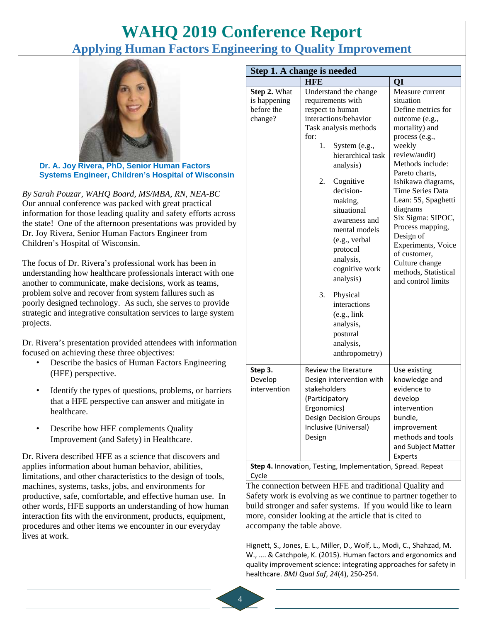## **WAHQ 2019 Conference Report Applying Human Factors Engineering to Quality Improvement**



**Dr. A. Joy Rivera, PhD, Senior Human Factors Systems Engineer, Children's Hospital of Wisconsin** 

*By Sarah Pouzar, WAHQ Board, MS/MBA, RN, NEA-BC*  Our annual conference was packed with great practical information for those leading quality and safety efforts across the state! One of the afternoon presentations was provided by Dr. Joy Rivera, Senior Human Factors Engineer from Children's Hospital of Wisconsin.

The focus of Dr. Rivera's professional work has been in understanding how healthcare professionals interact with one another to communicate, make decisions, work as teams, problem solve and recover from system failures such as poorly designed technology. As such, she serves to provide strategic and integrative consultation services to large system projects.

Dr. Rivera's presentation provided attendees with information focused on achieving these three objectives:

- Describe the basics of Human Factors Engineering (HFE) perspective.
- Identify the types of questions, problems, or barriers that a HFE perspective can answer and mitigate in healthcare.
- Describe how HFE complements Quality Improvement (and Safety) in Healthcare.

Dr. Rivera described HFE as a science that discovers and applies information about human behavior, abilities, limitations, and other characteristics to the design of tools, machines, systems, tasks, jobs, and environments for productive, safe, comfortable, and effective human use. In other words, HFE supports an understanding of how human interaction fits with the environment, products, equipment, procedures and other items we encounter in our everyday lives at work.

| Step 1. A change is needed                                           |                                                                                                                                                                                                                                                                                                                                                                                                                                   |                                                                                                                                                                                                                                                                                                                                                                                                                    |  |  |
|----------------------------------------------------------------------|-----------------------------------------------------------------------------------------------------------------------------------------------------------------------------------------------------------------------------------------------------------------------------------------------------------------------------------------------------------------------------------------------------------------------------------|--------------------------------------------------------------------------------------------------------------------------------------------------------------------------------------------------------------------------------------------------------------------------------------------------------------------------------------------------------------------------------------------------------------------|--|--|
|                                                                      | <b>HFE</b>                                                                                                                                                                                                                                                                                                                                                                                                                        | QI                                                                                                                                                                                                                                                                                                                                                                                                                 |  |  |
| Step 2. What<br>is happening<br>before the<br>change?                | Understand the change<br>requirements with<br>respect to human<br>interactions/behavior<br>Task analysis methods<br>for:<br>1.<br>System (e.g.,<br>hierarchical task<br>analysis)<br>2.<br>Cognitive<br>decision-<br>making,<br>situational<br>awareness and<br>mental models<br>(e.g., verbal<br>protocol<br>analysis,<br>cognitive work<br>analysis)<br>3.<br>Physical<br>interactions<br>(e.g., link)<br>analysis,<br>postural | Measure current<br>situation<br>Define metrics for<br>outcome (e.g.,<br>mortality) and<br>process (e.g.,<br>weekly<br>review/audit)<br>Methods include:<br>Pareto charts,<br>Ishikawa diagrams,<br>Time Series Data<br>Lean: 5S, Spaghetti<br>diagrams<br>Six Sigma: SIPOC,<br>Process mapping,<br>Design of<br>Experiments, Voice<br>of customer,<br>Culture change<br>methods, Statistical<br>and control limits |  |  |
|                                                                      | analysis,<br>anthropometry)                                                                                                                                                                                                                                                                                                                                                                                                       |                                                                                                                                                                                                                                                                                                                                                                                                                    |  |  |
| Step 3.<br>Develop<br>intervention                                   | Review the literature<br>Design intervention with<br>stakeholders<br>(Participatory<br>Ergonomics)<br><b>Design Decision Groups</b><br>Inclusive (Universal)<br>Design                                                                                                                                                                                                                                                            | Use existing<br>knowledge and<br>evidence to<br>develop<br>intervention<br>bundle,<br>improvement<br>methods and tools<br>and Subject Matter<br>Experts                                                                                                                                                                                                                                                            |  |  |
| Step 4. Innovation, Testing, Implementation, Spread. Repeat<br>Cycle |                                                                                                                                                                                                                                                                                                                                                                                                                                   |                                                                                                                                                                                                                                                                                                                                                                                                                    |  |  |
|                                                                      |                                                                                                                                                                                                                                                                                                                                                                                                                                   |                                                                                                                                                                                                                                                                                                                                                                                                                    |  |  |

The connection between HFE and traditional Quality and Safety work is evolving as we continue to partner together to build stronger and safer systems. If you would like to learn more, consider looking at the article that is cited to accompany the table above.

Hignett, S., Jones, E. L., Miller, D., Wolf, L., Modi, C., Shahzad, M. W., …. & Catchpole, K. (2015). Human factors and ergonomics and quality improvement science: integrating approaches for safety in healthcare. *BMJ Qual Saf*, *24*(4), 250‐254.

4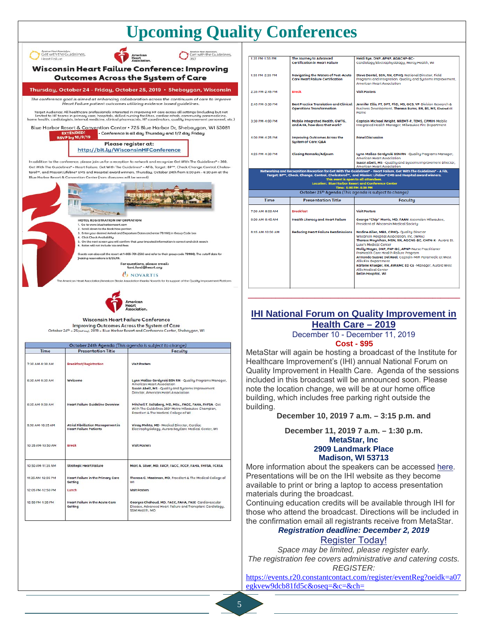# **Upcoming Quality Conferences**





Wisconsin Heart Failure Conference **Improving Outcomes Across the System of Care** October 24th - 25 (Figure 2019 - Blue Harbor Resort and Conference Center, Sheboygan, WI

| Time              | <b>Presentation Title</b>                                                 | Faculty                                                                                                                                                                                 |
|-------------------|---------------------------------------------------------------------------|-----------------------------------------------------------------------------------------------------------------------------------------------------------------------------------------|
|                   |                                                                           |                                                                                                                                                                                         |
| 7:30 AM-8:30 AM   | <b>Breakfast/Registration</b>                                             | <b>Visit Posters</b>                                                                                                                                                                    |
| 8:30 AM-8:35 AM   | Welcome                                                                   | Lunn Mallas-Serdunski BSN RN -Quality Programs Manager,<br><b>American Heart Association</b><br>Susan Abelt, MS-Quality and Systems Improvement<br>Director, American Heart Association |
| 8:35 AM-9:50 AM   | <b>Heart Failure Guideline Overview</b>                                   | Mitchell T. Saltzberg, MD, MSc., FACC, FAHA, FHFSA -Get<br>With The Guidelines 360° Metro Milwaukee Champion.<br>Froedtert & The Medical College of WI                                  |
| 9:50 AM-10:35 AM  | <b>Atrial Fibrillation Management in</b><br><b>Heart Failure Patients</b> | Vinay Mehta, MD-Medical Director, Cardiac<br>Electrophysiology, Aurora BayCare Medical Center, WI                                                                                       |
| 10:35 AM-10:50 AM | <b>Rreak</b>                                                              | <b>Visit Posters</b>                                                                                                                                                                    |
| 10:50 AM-11:35 AM | <b>Strategic Heart Failure</b>                                            | Marc A. Silver, MD, FACP, FACC, FCCP, FAHA, FHFSA, FCRSA                                                                                                                                |
| 11:35 AM-12:05 PM | Heart Failure in the Primary Care<br>Setting                              | Theresa C. Maatman, MD. Froedtert & The Medical College of<br>WI                                                                                                                        |
| 12:05 PM-12:50 PM | Lunch                                                                     | <b>Visit Posters</b>                                                                                                                                                                    |
| 12:50 PM-1:35 PM  | <b>Heart Failure in the Acute Care</b><br>Setting                         | Georges Chahoud, MD, FACC, FAHA, FASE-Cardiovascular<br>Disease, Advanced Heart Failure and Transplant Cardiology.<br>SSM Health, MO                                                    |

| The Journey to Advanced                                                               | Heidi Rue, DNP, APNP, AGACNP-BC-                                                                                                                                                                  |
|---------------------------------------------------------------------------------------|---------------------------------------------------------------------------------------------------------------------------------------------------------------------------------------------------|
|                                                                                       | Cardiology/Electrophysiology, Mercy Health, WI                                                                                                                                                    |
|                                                                                       |                                                                                                                                                                                                   |
| <b>Navigating the Waters of Post-Acute</b><br><b>Care Heart Failure Certification</b> | Steve Dentel, BSN, RN, CPHQ-National Director, Field<br>Programs and Integration, Quality and Systems Improvement,<br><b>American Heart Association</b>                                           |
| <b>Break</b>                                                                          | <b>Visit Posters</b>                                                                                                                                                                              |
| <b>Rest Practice Translation and Clinical</b><br><b>Operations Transformation</b>     | Jennifer Ellis, PT, DPT, PhD, MS, GCS, VP-Division Research &<br>Business Development, Theresa Burns, RN, BS, MS, Kindred at<br>Home                                                              |
| Mobile Integrated Health, GWTG,<br>and AHA, how does that work?                       | Captain Michael Wright, NREMT-P, TEMS, CPMIH-Mobile<br>Integrated Health Manager, Milwaukee Fire Department                                                                                       |
| <b>Improving Outcomes Across the</b><br><b>Sustem of Care: O&amp;A</b>                | <b>Panel Discussion</b>                                                                                                                                                                           |
| <b>Closing Remarks/Adjourn</b>                                                        | Lynn Mallas-Serdynski BSN RN -Quality Programs Manager,<br><b>American Heart Association</b><br>Susan Abelt, MS-Quality and Systems Improvement Director,<br><b>American Heart Association</b>    |
|                                                                                       | Networking and Recognition Reception for Get With The Guidelines" - Heart Failure, Get With The Guidelines" - A Fib.                                                                              |
|                                                                                       | Target: BP™, Check. Change. Control. Cholesterol™, and Mission: Lifeline" EMS and Hospital award winners.                                                                                         |
|                                                                                       | This event is open to all attendees.                                                                                                                                                              |
|                                                                                       |                                                                                                                                                                                                   |
|                                                                                       |                                                                                                                                                                                                   |
|                                                                                       |                                                                                                                                                                                                   |
|                                                                                       |                                                                                                                                                                                                   |
| <b>Presentation Title</b>                                                             | Faculty                                                                                                                                                                                           |
| <b>Breakfast</b>                                                                      | <b>Visit Posters</b>                                                                                                                                                                              |
| <b>Health Literacy and Heart Failure</b>                                              | George "Chip" Morris, MD, FAAN-Ascension Milwaukee,<br>President of Wisconsin Medical Societu                                                                                                     |
|                                                                                       | <b>Certification in Heart Failure</b><br><b>Location: Blue Harbor Resort and Conference Center</b><br>Time: 5:00 PM-6:30 PM<br>October 25 <sup>th</sup> Agenda (This agenda is subject to change) |

#### **IHI National Forum on Quality Improvement in Health Care – 2019**  December 10 - December 11, 2019

 **\_\_\_\_\_\_\_\_\_\_\_\_\_\_\_\_\_\_\_\_\_\_\_\_\_\_\_\_\_\_\_\_\_\_\_\_\_\_\_\_\_\_\_\_\_\_\_\_\_\_\_\_\_\_** 

**Cost - \$95** 

MetaStar will again be hosting a broadcast of the Institute for Healthcare Improvement's (IHI) annual National Forum on Quality Improvement in Health Care. Agenda of the sessions included in this broadcast will be announced soon. Please note the location change, we will be at our home office building, which includes free parking right outside the building.

**December 10, 2019 7 a.m. – 3:15 p.m. and** 

#### **December 11, 2019 7 a.m. – 1:30 p.m. MetaStar, Inc 2909 Landmark Place Madison, WI 53713**

More information about the speakers can be accessed here. Presentations will be on the IHI website as they become available to print or bring a laptop to access presentation materials during the broadcast.

Continuing education credits will be available through IHI for those who attend the broadcast. Directions will be included in the confirmation email all registrants receive from MetaStar.

#### *Registration deadline: December 2, 2019* Register Today!

*Space may be limited, please register early. The registration fee covers administrative and catering costs. REGISTER:* 

https://events.r20.constantcontact.com/register/eventReg?oeidk=a07 egkvew9dcb81fd5c&oseq=&c=&ch=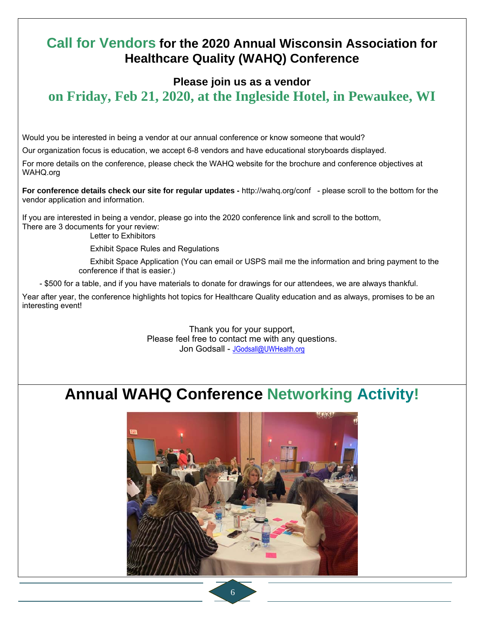### **Call for Vendors for the 2020 Annual Wisconsin Association for Healthcare Quality (WAHQ) Conference**

#### **Please join us as a vendor**

### **on Friday, Feb 21, 2020, at the Ingleside Hotel, in Pewaukee, WI**

Would you be interested in being a vendor at our annual conference or know someone that would?

Our organization focus is education, we accept 6-8 vendors and have educational storyboards displayed.

For more details on the conference, please check the WAHQ website for the brochure and conference objectives at WAHQ.org

**For conference details check our site for regular updates -** http://wahq.org/conf - please scroll to the bottom for the vendor application and information.

If you are interested in being a vendor, please go into the 2020 conference link and scroll to the bottom, There are 3 documents for your review:

Letter to Exhibitors

Exhibit Space Rules and Regulations

 Exhibit Space Application (You can email or USPS mail me the information and bring payment to the conference if that is easier.)

- \$500 for a table, and if you have materials to donate for drawings for our attendees, we are always thankful.

Year after year, the conference highlights hot topics for Healthcare Quality education and as always, promises to be an interesting event!

> Thank you for your support, Please feel free to contact me with any questions. Jon Godsall - JGodsall@UWHealth.org

# **Annual WAHQ Conference Networking Activity!**